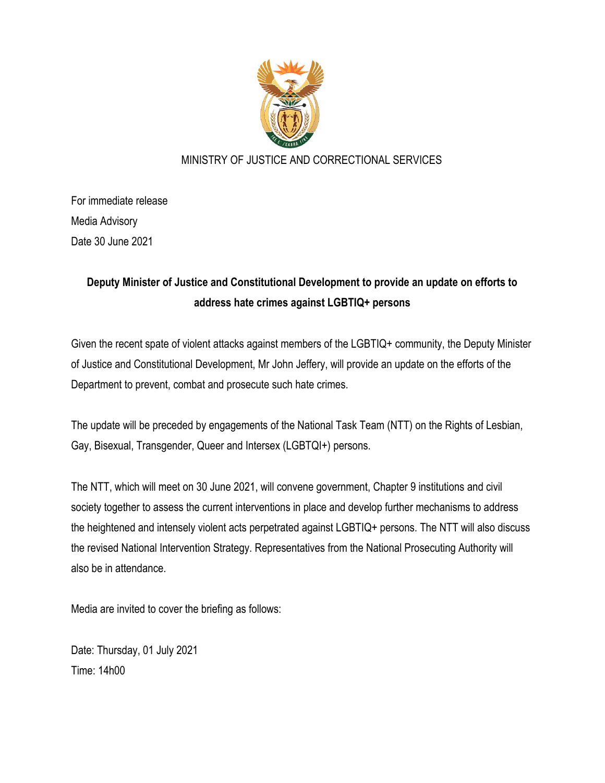

## MINISTRY OF JUSTICE AND CORRECTIONAL SERVICES

For immediate release Media Advisory Date 30 June 2021

## **Deputy Minister of Justice and Constitutional Development to provide an update on efforts to address hate crimes against LGBTIQ+ persons**

Given the recent spate of violent attacks against members of the LGBTIQ+ community, the Deputy Minister of Justice and Constitutional Development, Mr John Jeffery, will provide an update on the efforts of the Department to prevent, combat and prosecute such hate crimes.

The update will be preceded by engagements of the National Task Team (NTT) on the Rights of Lesbian, Gay, Bisexual, Transgender, Queer and Intersex (LGBTQI+) persons.

The NTT, which will meet on 30 June 2021, will convene government, Chapter 9 institutions and civil society together to assess the current interventions in place and develop further mechanisms to address the heightened and intensely violent acts perpetrated against LGBTIQ+ persons. The NTT will also discuss the revised National Intervention Strategy. Representatives from the National Prosecuting Authority will also be in attendance.

Media are invited to cover the briefing as follows:

Date: Thursday, 01 July 2021 Time: 14h00